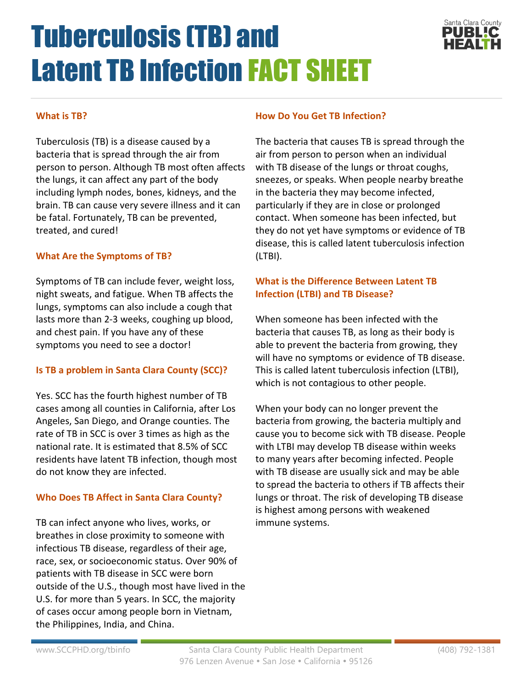# Tuberculosis (TB) and Latent TB Infection FACT SHEET



## **What is TB?**

Tuberculosis (TB) is a disease caused by a bacteria that is spread through the air from person to person. Although TB most often affects the lungs, it can affect any part of the body including lymph nodes, bones, kidneys, and the brain. TB can cause very severe illness and it can be fatal. Fortunately, TB can be prevented, treated, and cured!

#### **What Are the Symptoms of TB?**

Symptoms of TB can include fever, weight loss, night sweats, and fatigue. When TB affects the lungs, symptoms can also include a cough that lasts more than 2-3 weeks, coughing up blood, and chest pain. If you have any of these symptoms you need to see a doctor!

## **Is TB a problem in Santa Clara County (SCC)?**

Yes. SCC has the fourth highest number of TB cases among all counties in California, after Los Angeles, San Diego, and Orange counties. The rate of TB in SCC is over 3 times as high as the national rate. It is estimated that 8.5% of SCC residents have latent TB infection, though most do not know they are infected.

## **Who Does TB Affect in Santa Clara County?**

TB can infect anyone who lives, works, or breathes in close proximity to someone with infectious TB disease, regardless of their age, race, sex, or socioeconomic status. Over 90% of patients with TB disease in SCC were born outside of the U.S., though most have lived in the U.S. for more than 5 years. In SCC, the majority of cases occur among people born in Vietnam, the Philippines, India, and China.

#### **How Do You Get TB Infection?**

The bacteria that causes TB is spread through the air from person to person when an individual with TB disease of the lungs or throat coughs, sneezes, or speaks. When people nearby breathe in the bacteria they may become infected, particularly if they are in close or prolonged contact. When someone has been infected, but they do not yet have symptoms or evidence of TB disease, this is called latent tuberculosis infection (LTBI).

## **What is the Difference Between Latent TB Infection (LTBI) and TB Disease?**

When someone has been infected with the bacteria that causes TB, as long as their body is able to prevent the bacteria from growing, they will have no symptoms or evidence of TB disease. This is called latent tuberculosis infection (LTBI), which is not contagious to other people.

When your body can no longer prevent the bacteria from growing, the bacteria multiply and cause you to become sick with TB disease. People with LTBI may develop TB disease within weeks to many years after becoming infected. People with TB disease are usually sick and may be able to spread the bacteria to others if TB affects their lungs or throat. The risk of developing TB disease is highest among persons with weakened immune systems.